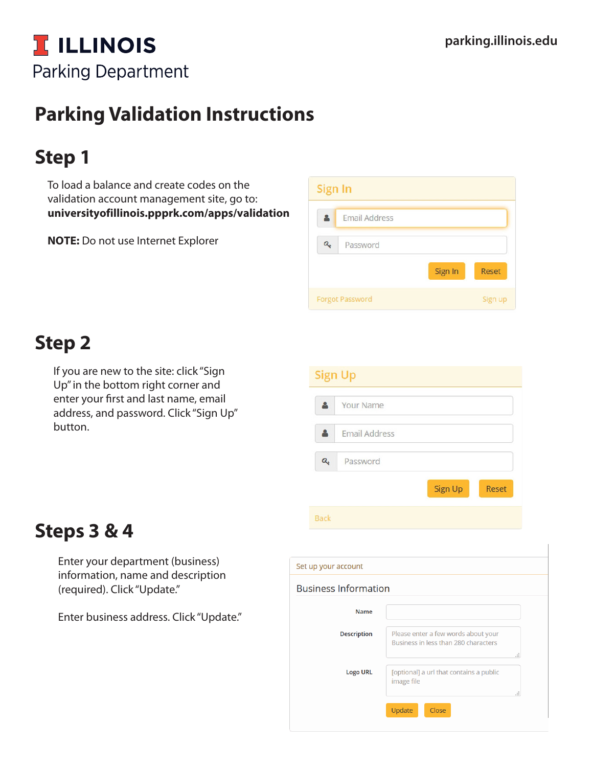## **T ILLINOIS Parking Department**

## **Parking Validation Instructions**

## **Step 1**

To load a balance and create codes on the validation account management site, go to: **universityofillinois.ppprk.com/apps/validation** 

**NOTE:** Do not use Internet Explorer

| Sign In |                        |         |              |
|---------|------------------------|---------|--------------|
|         | Email Address          |         |              |
|         | Password               |         |              |
|         |                        | Sign In | <b>Reset</b> |
|         | <b>Forgot Password</b> |         | Sign up      |

## **Step 2**

If you are new to the site: click "Sign Up" in the bottom right corner and enter your first and last name, email address, and password. Click "Sign Up" button.

|                  | <b>Sign Up</b>       |
|------------------|----------------------|
|                  | <b>Your Name</b>     |
|                  | <b>Email Address</b> |
| $\mathbf{a}_{k}$ | Password             |
|                  | Sign Up<br>Reset     |
| <b>Back</b>      |                      |

## **Steps 3 & 4**

Enter your department (business) information, name and description (required). Click "Update."

Enter business address. Click "Update."

| Set up your account         |                                                                                    |  |  |  |
|-----------------------------|------------------------------------------------------------------------------------|--|--|--|
| <b>Business Information</b> |                                                                                    |  |  |  |
| <b>Name</b>                 |                                                                                    |  |  |  |
| <b>Description</b>          | Please enter a few words about your<br>Business in less than 280 characters<br>al. |  |  |  |
| <b>Logo URL</b>             | [optional] a url that contains a public<br>image file<br>лă.                       |  |  |  |
|                             | Update<br>Close                                                                    |  |  |  |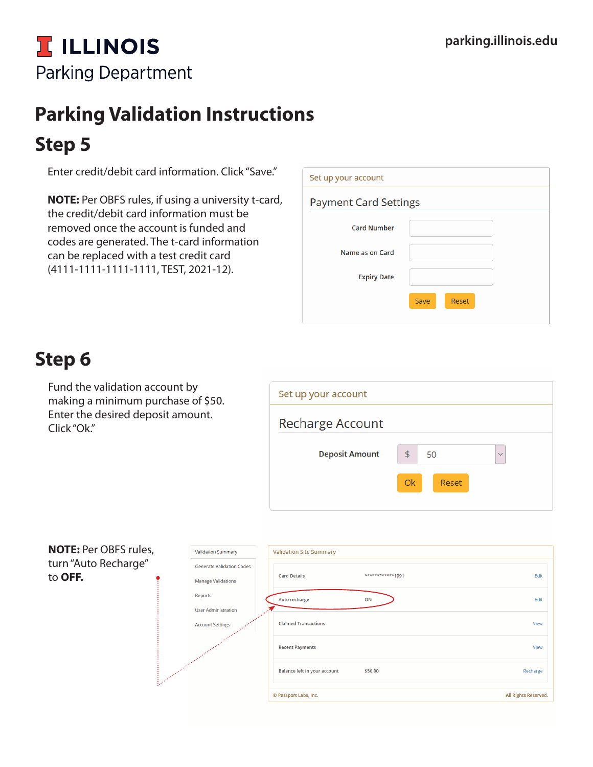# **T. ILLINOIS Parking Department**

# **Parking Validation Instructions Step 5**

Enter credit/debit card information. Click "Save."

**NOTE:** Per OBFS rules, if using a university t-card, the credit/debit card information must be removed once the account is funded and codes are generated. The t-card information can be replaced with a test credit card (4111-1111-1111-1111, TEST, 2021-12).

| Set up your account          |                      |
|------------------------------|----------------------|
| <b>Payment Card Settings</b> |                      |
| <b>Card Number</b>           |                      |
| Name as on Card              |                      |
| <b>Expiry Date</b>           |                      |
|                              | Save<br><b>Reset</b> |
|                              |                      |

## **Step 6**

Fund the validation account by making a minimum purchase of \$50. Enter the desired deposit amount. Click "Ok."

| Set up your account     |                           |
|-------------------------|---------------------------|
| <b>Recharge Account</b> |                           |
| <b>Deposit Amount</b>   | \$<br>50<br>$\checkmark$  |
|                         | <b>Ok</b><br><b>Reset</b> |
|                         |                           |

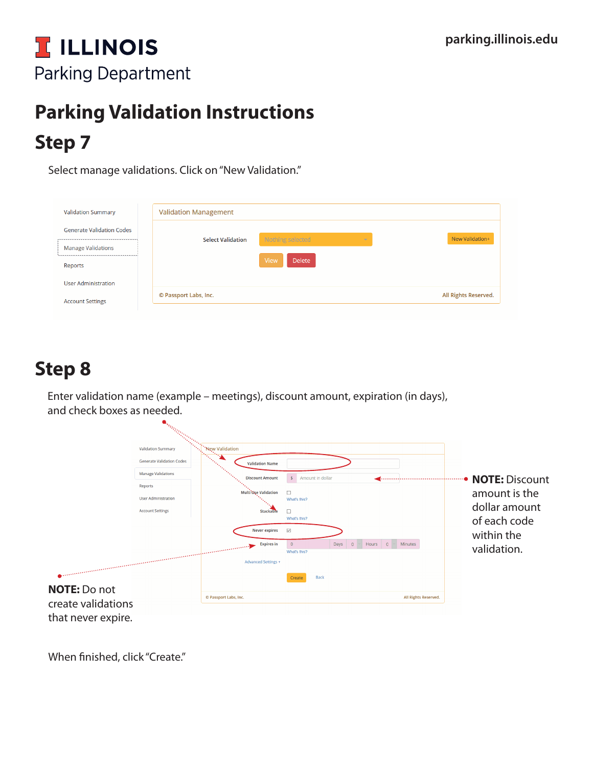## **I ILLINOIS Parking Department**

# **Step 7 Parking Validation Instructions**

Select manage validations. Click on "New Validation."

| <b>Validation Summary</b>        | <b>Validation Management</b> |                       |                      |
|----------------------------------|------------------------------|-----------------------|----------------------|
| <b>Generate Validation Codes</b> |                              | $\sim$                | New Validation+      |
| <b>Manage Validations</b>        | <b>Select Validation</b>     | Nothing selected      |                      |
|                                  |                              | View<br><b>Delete</b> |                      |
| Reports                          |                              |                       |                      |
| <b>User Administration</b>       |                              |                       |                      |
|                                  | © Passport Labs, Inc.        |                       | All Rights Reserved. |
| <b>Account Settings</b>          |                              |                       |                      |

## **Step 8**

Enter validation name (example – meetings), discount amount, expiration (in days), and check boxes as needed.

|                                                                                                                               | $\mathbf{a}_{i_{l_{l_{i}}}}$     |                                                                         |                                                                                                                                                             |                                           |
|-------------------------------------------------------------------------------------------------------------------------------|----------------------------------|-------------------------------------------------------------------------|-------------------------------------------------------------------------------------------------------------------------------------------------------------|-------------------------------------------|
|                                                                                                                               | <b>Validation Summary</b>        | <b>New Validation</b><br>े प्रक                                         |                                                                                                                                                             |                                           |
|                                                                                                                               | <b>Generate Validation Codes</b> | <b>Validation Name</b>                                                  |                                                                                                                                                             |                                           |
|                                                                                                                               | <b>Manage Validations</b>        | <b>Discount Amount</b>                                                  | $\frac{1}{2}$<br>Amount in dollar                                                                                                                           | <b>NOTE: Discount</b>                     |
|                                                                                                                               | Reports                          | Multi Uşe Validation                                                    | $\Box$                                                                                                                                                      |                                           |
|                                                                                                                               | <b>User Administration</b>       |                                                                         | What's this?                                                                                                                                                | amount is the                             |
|                                                                                                                               | <b>Account Settings</b>          | <b>Stackable</b>                                                        | П                                                                                                                                                           | dollar amount                             |
| <b>Communication of the communication of the communication of the communication of the communication of the communication</b> |                                  | <b>Never expires</b><br><b>Expires</b> in<br><b>Advanced Settings +</b> | What's this?<br>$\overline{\smile}$<br>$\mathbf 0$<br><b>Minutes</b><br>Days<br>$\circ$<br>Hours<br>$\overline{0}$<br>What's this?<br><b>Back</b><br>Create | of each code<br>within the<br>validation. |
| <b>NOTE: Do not</b><br>create validations                                                                                     |                                  | © Passport Labs, Inc.                                                   | All Rights Reserved.                                                                                                                                        |                                           |
| that never expire.                                                                                                            |                                  |                                                                         |                                                                                                                                                             |                                           |

When finished, click "Create."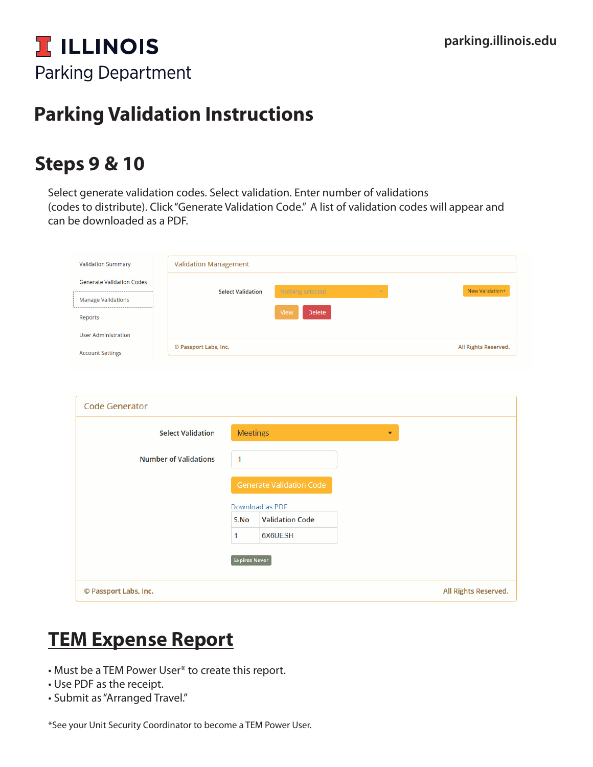

## **Parking Validation Instructions**

### **Steps 9 & 10**

Select generate validation codes. Select validation. Enter number of validations (codes to distribute). Click "Generate Validation Code." A list of validation codes will appear and can be downloaded as a PDF.

| <b>Validation Summary</b>                                                | <b>Validation Management</b><br>New Validation+<br>Nothing selected<br><b>Select Validation</b><br>$\bar{\nabla}$<br>View<br>Delete |                      |                                             |                      |
|--------------------------------------------------------------------------|-------------------------------------------------------------------------------------------------------------------------------------|----------------------|---------------------------------------------|----------------------|
| <b>Generate Validation Codes</b><br><b>Manage Validations</b><br>Reports |                                                                                                                                     |                      |                                             |                      |
| <b>User Administration</b><br><b>Account Settings</b>                    | © Passport Labs, Inc.<br>All Rights Reserved.                                                                                       |                      |                                             |                      |
| <b>Code Generator</b>                                                    |                                                                                                                                     |                      |                                             |                      |
|                                                                          | <b>Select Validation</b>                                                                                                            | <b>Meetings</b>      | $\blacktriangledown$                        |                      |
|                                                                          | <b>Number of Validations</b>                                                                                                        | $\mathbf{1}$         |                                             |                      |
|                                                                          |                                                                                                                                     |                      | Generate Validation Code<br>Download as PDF |                      |
|                                                                          |                                                                                                                                     | S.No                 | <b>Validation Code</b>                      |                      |
|                                                                          |                                                                                                                                     | 1                    | 6X6UESH                                     |                      |
|                                                                          |                                                                                                                                     | <b>Expires Never</b> |                                             |                      |
| © Passport Labs, Inc.                                                    |                                                                                                                                     |                      |                                             | All Rights Reserved. |

## **TEM Expense Report**

- Must be a TEM Power User\* to create this report.
- Use PDF as the receipt.
- Submit as "Arranged Travel."

\*See your Unit Security Coordinator to become a TEM Power User.